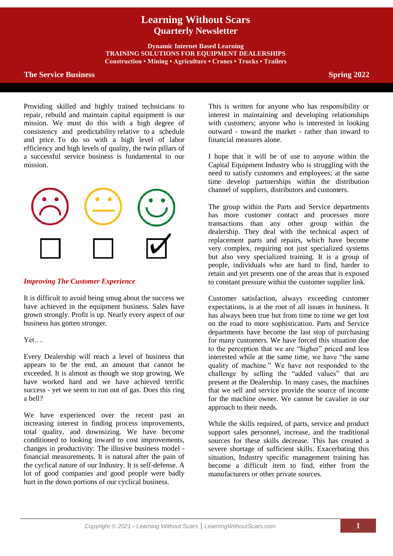# **Learning Without Scars Quarterly Newsletter**

**Dynamic Internet Based Learning TRAINING SOLUTIONS FOR EQUIPMENT DEALERSHIPS Construction • Mining • Agriculture • Cranes • Trucks • Trailers**

## **The Service Business Spring 2022**

Providing skilled and highly trained technicians to repair, rebuild and maintain capital equipment is our mission. We must do this with a high degree of consistency and predictability relative to a schedule and price. To do so with a high level of labor efficiency and high levels of quality, the twin pillars of a successful service business is fundamental to our mission.



## *Improving The Customer Experience*

It is difficult to avoid being smug about the success we have achieved in the equipment business. Sales have grown strongly. Profit is up. Nearly every aspect of our business has gotten stronger.

Yet….

Every Dealership will reach a level of business that appears to be the end, an amount that cannot be exceeded. It is almost as though we stop growing. We have worked hard and we have achieved terrific success - yet we seem to run out of gas. Does this ring a bell?

We have experienced over the recent past an increasing interest in finding process improvements, total quality, and downsizing. We have become conditioned to looking inward to cost improvements, changes in productivity: The illusive business model financial measurements. It is natural after the pain of the cyclical nature of our Industry. It is self-defense. A lot of good companies and good people were badly hurt in the down portions of our cyclical business.

This is written for anyone who has responsibility or interest in maintaining and developing relationships with customers; anyone who is interested in looking outward - toward the market - rather than inward to financial measures alone.

I hope that it will be of use to anyone within the Capital Equipment Industry who is struggling with the need to satisfy customers and employees; at the same time develop partnerships within the distribution channel of suppliers, distributors and customers.

The group within the Parts and Service departments has more customer contact and processes more transactions than any other group within the dealership. They deal with the technical aspect of replacement parts and repairs, which have become very complex, requiring not just specialized systems but also very specialized training. It is a group of people, individuals who are hard to find, harder to retain and yet presents one of the areas that is exposed to constant pressure within the customer supplier link.

Customer satisfaction, always exceeding customer expectations, is at the root of all issues in business. It has always been true but from time to time we get lost on the road to more sophistication. Parts and Service departments have become the last stop of purchasing for many customers. We have forced this situation due to the perception that we are "higher" priced and less interested while at the same time, we have "the same quality of machine." We have not responded to the challenge by selling the "added values" that are present at the Dealership. In many cases, the machines that we sell and service provide the source of income for the machine owner. We cannot be cavalier in our approach to their needs.

While the skills required, of parts, service and product support sales personnel, increase, and the traditional sources for these skills decrease. This has created a severe shortage of sufficient skills. Exacerbating this situation, Industry specific management training has become a difficult item to find, either from the manufacturers or other private sources.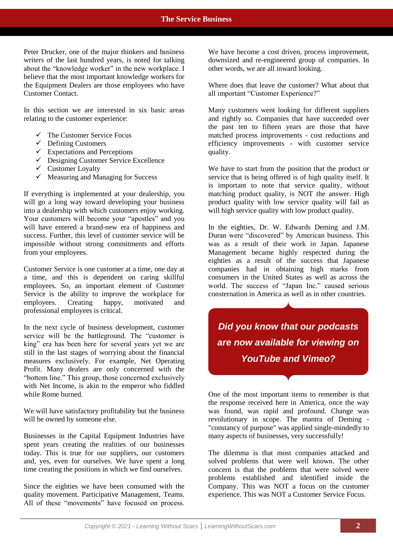Peter Drucker, one of the major thinkers and business writers of the last hundred years, is noted for talking about the "knowledge worker" in the new workplace. I believe that the most important knowledge workers for the Equipment Dealers are those employees who have Customer Contact.

In this section we are interested in six basic areas relating to the customer experience:

- $\checkmark$  The Customer Service Focus
- $\checkmark$  Defining Customers
- $\checkmark$  Expectations and Perceptions
- $\checkmark$  Designing Customer Service Excellence
- $\checkmark$  Customer Loyalty
- $\checkmark$  Measuring and Managing for Success

If everything is implemented at your dealership, you will go a long way toward developing your business into a dealership with which customers enjoy working. Your customers will become your "apostles" and you will have entered a brand-new era of happiness and success. Further, this level of customer service will be impossible without strong commitments and efforts from your employees.

Customer Service is one customer at a time, one day at a time, and this is dependent on caring skillful employees. So, an important element of Customer Service is the ability to improve the workplace for employees. Creating happy, motivated and professional employees is critical.

In the next cycle of business development, customer service will be the battleground. The "customer is king" era has been here for several years yet we are still in the last stages of worrying about the financial measures exclusively. For example, Net Operating Profit. Many dealers are only concerned with the "bottom line." This group, those concerned exclusively with Net Income, is akin to the emperor who fiddled while Rome burned.

We will have satisfactory profitability but the business will be owned by someone else.

Businesses in the Capital Equipment Industries have spent years creating the realities of our businesses today. This is true for our suppliers, our customers and, yes, even for ourselves. We have spent a long time creating the positions in which we find ourselves.

Since the eighties we have been consumed with the quality movement. Participative Management, Teams. All of these "movements" have focused on process. We have become a cost driven, process improvement, downsized and re-engineered group of companies. In other words, we are all inward looking.

Where does that leave the customer? What about that all important "Customer Experience?"

Many customers went looking for different suppliers and rightly so. Companies that have succeeded over the past ten to fifteen years are those that have matched process improvements - cost reductions and efficiency improvements - with customer service quality.

We have to start from the position that the product or service that is being offered is of high quality itself. It is important to note that service quality, without matching product quality, is NOT the answer. High product quality with low service quality will fail as will high service quality with low product quality.

In the eighties, Dr. W. Edwards Deming and J.M. Duran were "discovered" by American business. This was as a result of their work in Japan. Japanese Management became highly respected during the eighties as a result of the success that Japanese companies had in obtaining high marks from consumers in the United States as well as across the world. The success of "Japan Inc." caused serious consternation in America as well as in other countries.

*Did you know that our podcasts are now available for viewing on YouTube and Vimeo?*

One of the most important items to remember is that the response received here in America, once the way was found, was rapid and profound. Change was revolutionary in scope. The mantra of Deming - "constancy of purpose" was applied single-mindedly to many aspects of businesses, very successfully!

The dilemma is that most companies attacked and solved problems that were well known. The other concern is that the problems that were solved were problems established and identified inside the Company. This was NOT a focus on the customer experience. This was NOT a Customer Service Focus.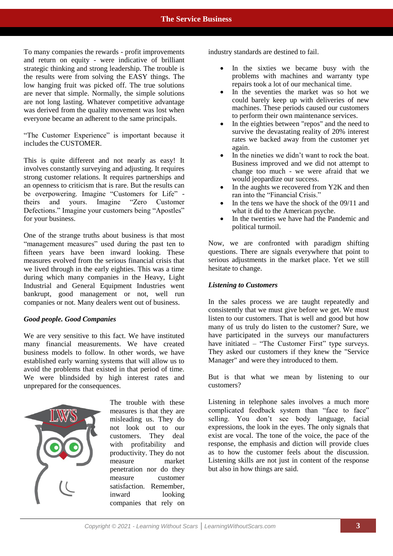To many companies the rewards - profit improvements and return on equity - were indicative of brilliant strategic thinking and strong leadership. The trouble is the results were from solving the EASY things. The low hanging fruit was picked off. The true solutions are never that simple. Normally, the simple solutions are not long lasting. Whatever competitive advantage was derived from the quality movement was lost when everyone became an adherent to the same principals.

"The Customer Experience" is important because it includes the CUSTOMER.

This is quite different and not nearly as easy! It involves constantly surveying and adjusting. It requires strong customer relations. It requires partnerships and an openness to criticism that is rare. But the results can be overpowering. Imagine "Customers for Life" theirs and yours. Imagine "Zero Customer Defections." Imagine your customers being "Apostles" for your business.

One of the strange truths about business is that most "management measures" used during the past ten to fifteen years have been inward looking. These measures evolved from the serious financial crisis that we lived through in the early eighties. This was a time during which many companies in the Heavy, Light Industrial and General Equipment Industries went bankrupt, good management or not, well run companies or not. Many dealers went out of business.

## *Good people. Good Companies*

We are very sensitive to this fact. We have instituted many financial measurements. We have created business models to follow. In other words, we have established early warning systems that will allow us to avoid the problems that existed in that period of time. We were blindsided by high interest rates and unprepared for the consequences.



The trouble with these measures is that they are misleading us. They do not look out to our customers. They deal with profitability and productivity. They do not measure market penetration nor do they measure customer satisfaction. Remember, inward looking companies that rely on industry standards are destined to fail.

- In the sixties we became busy with the problems with machines and warranty type repairs took a lot of our mechanical time.
- In the seventies the market was so hot we could barely keep up with deliveries of new machines. These periods caused our customers to perform their own maintenance services.
- In the eighties between "repos" and the need to survive the devastating reality of 20% interest rates we backed away from the customer yet again.
- In the nineties we didn't want to rock the boat. Business improved and we did not attempt to change too much - we were afraid that we would jeopardize our success.
- In the aughts we recovered from Y2K and then ran into the "Financial Crisis."
- In the tens we have the shock of the 09/11 and what it did to the American psyche.
- In the twenties we have had the Pandemic and political turmoil.

Now, we are confronted with paradigm shifting questions. There are signals everywhere that point to serious adjustments in the market place. Yet we still hesitate to change.

## *Listening to Customers*

In the sales process we are taught repeatedly and consistently that we must give before we get. We must listen to our customers. That is well and good but how many of us truly do listen to the customer? Sure, we have participated in the surveys our manufacturers have initiated – "The Customer First" type surveys. They asked our customers if they knew the "Service Manager" and were they introduced to them.

But is that what we mean by listening to our customers?

Listening in telephone sales involves a much more complicated feedback system than "face to face" selling. You don't see body language, facial expressions, the look in the eyes. The only signals that exist are vocal. The tone of the voice, the pace of the response, the emphasis and diction will provide clues as to how the customer feels about the discussion. Listening skills are not just in content of the response but also in how things are said.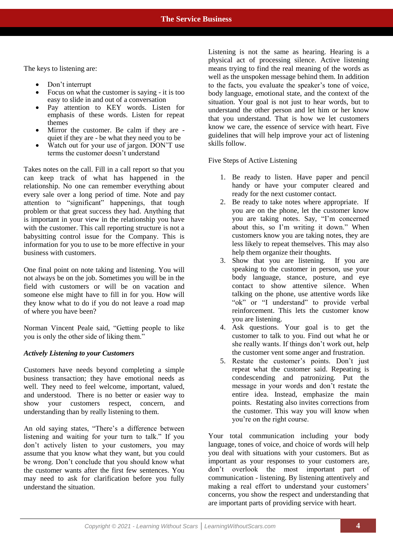The keys to listening are:

- Don't interrupt
- Focus on what the customer is saying it is too easy to slide in and out of a conversation
- Pay attention to KEY words. Listen for emphasis of these words. Listen for repeat themes
- Mirror the customer. Be calm if they are quiet if they are - be what they need you to be
- Watch out for your use of jargon. DON'T use terms the customer doesn't understand

Takes notes on the call. Fill in a call report so that you can keep track of what has happened in the relationship. No one can remember everything about every sale over a long period of time. Note and pay attention to "significant" happenings, that tough problem or that great success they had. Anything that is important in your view in the relationship you have with the customer. This call reporting structure is not a babysitting control issue for the Company. This is information for you to use to be more effective in your business with customers.

One final point on note taking and listening. You will not always be on the job. Sometimes you will be in the field with customers or will be on vacation and someone else might have to fill in for you. How will they know what to do if you do not leave a road map of where you have been?

Norman Vincent Peale said, "Getting people to like you is only the other side of liking them."

## *Actively Listening to your Customers*

Customers have needs beyond completing a simple business transaction; they have emotional needs as well. They need to feel welcome, important, valued, and understood. There is no better or easier way to show your customers respect, concern, and understanding than by really listening to them.

An old saying states, "There's a difference between listening and waiting for your turn to talk." If you don't actively listen to your customers, you may assume that you know what they want, but you could be wrong. Don't conclude that you should know what the customer wants after the first few sentences. You may need to ask for clarification before you fully understand the situation.

Listening is not the same as hearing. Hearing is a physical act of processing silence. Active listening means trying to find the real meaning of the words as well as the unspoken message behind them. In addition to the facts, you evaluate the speaker's tone of voice, body language, emotional state, and the context of the situation. Your goal is not just to hear words, but to understand the other person and let him or her know that you understand. That is how we let customers know we care, the essence of service with heart. Five guidelines that will help improve your act of listening skills follow.

Five Steps of Active Listening

- 1. Be ready to listen. Have paper and pencil handy or have your computer cleared and ready for the next customer contact.
- 2. Be ready to take notes where appropriate. If you are on the phone, let the customer know you are taking notes. Say, "I'm concerned about this, so I'm writing it down." When customers know you are taking notes, they are less likely to repeat themselves. This may also help them organize their thoughts.
- 3. Show that you are listening. If you are speaking to the customer in person, use your body language, stance, posture, and eye contact to show attentive silence. When talking on the phone, use attentive words like "ok" or "I understand" to provide verbal reinforcement. This lets the customer know you are listening.
- 4. Ask questions. Your goal is to get the customer to talk to you. Find out what he or she really wants. If things don't work out, help the customer vent some anger and frustration.
- 5. Restate the customer's points. Don't just repeat what the customer said. Repeating is condescending and patronizing. Put the message in your words and don't restate the entire idea. Instead, emphasize the main points. Restating also invites corrections from the customer. This way you will know when you're on the right course.

Your total communication including your body language, tones of voice, and choice of words will help you deal with situations with your customers. But as important as your responses to your customers are, don't overlook the most important part of communication - listening. By listening attentively and making a real effort to understand your customers' concerns, you show the respect and understanding that are important parts of providing service with heart.